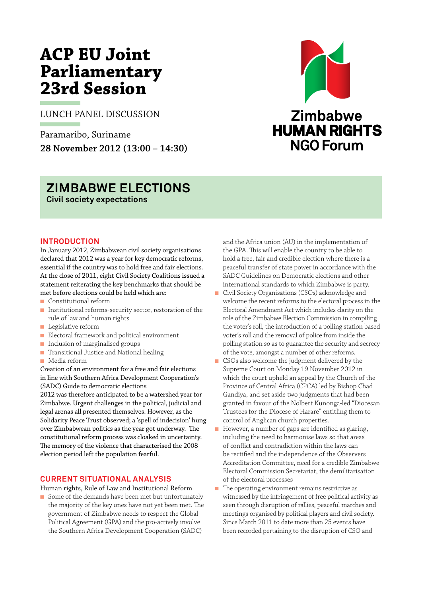# **ACP EU Joint Parliamentary 23rd Session**

LUNCH PANEL DISCUSSION

Paramaribo, Suriname **28 November 2012 (13:00 – 14:30)**



## **ZIMBABWE ELECTIONS Civil society expectations**

**Introduction**  In January 2012, Zimbabwean civil society organisations declared that 2012 was a year for key democratic reforms, essential if the country was to hold free and fair elections. At the close of 2011, eight Civil Society Coalitions issued a statement reiterating the key benchmarks that should be met before elections could be held which are:

- <sup>n</sup> Constitutional reform
- Institutional reforms-security sector, restoration of the rule of law and human rights
- **n** Legislative reform
- <sup>n</sup> Electoral framework and political environment
- n Inclusion of marginalised groups
- n Transitional Justice and National healing
- <sup>n</sup> Media reform

Creation of an environment for a free and fair elections in line with Southern Africa Development Cooperation's (SADC) Guide to democratic elections

2012 was therefore anticipated to be a watershed year for Zimbabwe. Urgent challenges in the political, judicial and legal arenas all presented themselves. However, as the Solidarity Peace Trust observed; a 'spell of indecision' hung over Zimbabwean politics as the year got underway. The constitutional reform process was cloaked in uncertainty. The memory of the violence that characterised the 2008 election period left the population fearful.

### **Current situational analysis**

Human rights, Rule of Law and Institutional Reform

■ Some of the demands have been met but unfortunately the majority of the key ones have not yet been met. The government of Zimbabwe needs to respect the Global Political Agreement (GPA) and the pro-actively involve the Southern Africa Development Cooperation (SADC)

and the Africa union (AU) in the implementation of the GPA. This will enable the country to be able to hold a free, fair and credible election where there is a peaceful transfer of state power in accordance with the SADC Guidelines on Democratic elections and other international standards to which Zimbabwe is party.

- Civil Society Organisations (CSOs) acknowledge and welcome the recent reforms to the electoral process in the Electoral Amendment Act which includes clarity on the role of the Zimbabwe Election Commission in compiling the voter's roll, the introduction of a polling station based voter's roll and the removal of police from inside the polling station so as to guarantee the security and secrecy of the vote, amongst a number of other reforms.
- CSOs also welcome the judgment delivered by the Supreme Court on Monday 19 November 2012 in which the court upheld an appeal by the Church of the Province of Central Africa (CPCA) led by Bishop Chad Gandiya, and set aside two judgments that had been granted in favour of the Nolbert Kunonga-led "Diocesan Trustees for the Diocese of Harare" entitling them to control of Anglican church properties.
- <sup>n</sup> However, a number of gaps are identified as glaring, including the need to harmonise laws so that areas of conflict and contradiction within the laws can be rectified and the independence of the Observers Accreditation Committee, need for a credible Zimbabwe Electoral Commission Secretariat, the demilitarisation of the electoral processes
- n The operating environment remains restrictive as witnessed by the infringement of free political activity as seen through disruption of rallies, peaceful marches and meetings organised by political players and civil society. Since March 2011 to date more than 25 events have been recorded pertaining to the disruption of CSO and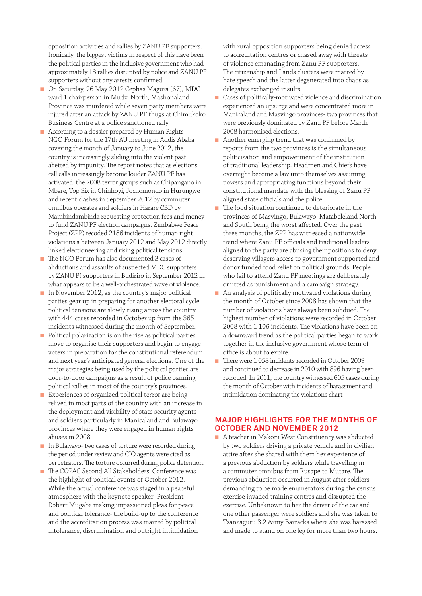opposition activities and rallies by ZANU PF supporters. Ironically, the biggest victims in respect of this have been the political parties in the inclusive government who had approximately 18 rallies disrupted by police and ZANU PF supporters without any arrests confirmed.

- On Saturday, 26 May 2012 Cephas Magura (67), MDC ward 1 chairperson in Mudzi North, Mashonaland Province was murdered while seven party members were injured after an attack by ZANU PF thugs at Chimukoko Business Centre at a police sanctioned rally.
- According to a dossier prepared by Human Rights NGO Forum for the 17th AU meeting in Addis Ababa covering the month of January to June 2012, the country is increasingly sliding into the violent past abetted by impunity. The report notes that as elections call calls increasingly become louder ZANU PF has activated the 2008 terror groups such as Chipangano in Mbare, Top Six in Chinhoyi, Jochomondo in Hurungwe and recent clashes in September 2012 by commuter omnibus operates and soldiers in Harare CBD by Mambindambinda requesting protection fees and money to fund ZANU PF election campaigns. Zimbabwe Peace Project (ZPP) recoded 2186 incidents of human right violations a between January 2012 and May 2012 directly linked electioneering and rising political tensions.
- The NGO Forum has also documented 3 cases of abductions and assaults of suspected MDC supporters by ZANU Pf supporters in Budiriro in September 2012 in what appears to be a well-orchestrated wave of violence.
- n In November 2012, as the country's major political parties gear up in preparing for another electoral cycle, political tensions are slowly rising across the country with 444 cases recorded in October up from the 365 incidents witnessed during the month of September.
- n Political polarization is on the rise as political parties move to organise their supporters and begin to engage voters in preparation for the constitutional referendum and next year's anticipated general elections. One of the major strategies being used by the political parties are door-to-door campaigns as a result of police banning political rallies in most of the country's provinces.
- Experiences of organized political terror are being relived in most parts of the country with an increase in the deployment and visibility of state security agents and soldiers particularly in Manicaland and Bulawayo provinces where they were engaged in human rights abuses in 2008.
- <sup>n</sup> In Bulawayo- two cases of torture were recorded during the period under review and CIO agents were cited as perpetrators. The torture occurred during police detention.
- The COPAC Second All Stakeholders' Conference was the highlight of political events of October 2012. While the actual conference was staged in a peaceful atmosphere with the keynote speaker- President Robert Mugabe making impassioned pleas for peace and political tolerance- the build-up to the conference and the accreditation process was marred by political intolerance, discrimination and outright intimidation

with rural opposition supporters being denied access to accreditation centres or chased away with threats of violence emanating from Zanu PF supporters. The citizenship and Lands clusters were marred by hate speech and the latter degenerated into chaos as delegates exchanged insults.

- <sup>n</sup> Cases of politically-motivated violence and discrimination experienced an upsurge and were concentrated more in Manicaland and Masvingo provinces- two provinces that were previously dominated by Zanu PF before March 2008 harmonised elections.
- **n** Another emerging trend that was confirmed by reports from the two provinces is the simultaneous politicization and empowerment of the institution of traditional leadership. Headmen and Chiefs have overnight become a law unto themselves assuming powers and appropriating functions beyond their constitutional mandate with the blessing of Zanu PF aligned state officials and the police.
- $\blacksquare$  The food situation continued to deteriorate in the provinces of Masvingo, Bulawayo. Matabeleland North and South being the worst affected. Over the past three months, the ZPP has witnessed a nationwide trend where Zanu PF officials and traditional leaders aligned to the party are abusing their positions to deny deserving villagers access to government supported and donor funded food relief on political grounds. People who fail to attend Zanu PF meetings are deliberately omitted as punishment and a campaign strategy.
- $\blacksquare$  An analysis of politically motivated violations during the month of October since 2008 has shown that the number of violations have always been subdued. The highest number of violations were recorded in October 2008 with 1 106 incidents. The violations have been on a downward trend as the political parties began to work together in the inclusive government whose term of office is about to expire.
- n There were 1 058 incidents recorded in October 2009 and continued to decrease in 2010 with 896 having been recorded. In 2011, the country witnessed 605 cases during the month of October with incidents of harassment and intimidation dominating the violations chart

### **Major Highlights for the months of October and November 2012**

<sup>n</sup> A teacher in Makoni West Constituency was abducted by two soldiers driving a private vehicle and in civilian attire after she shared with them her experience of a previous abduction by soldiers while travelling in a commuter omnibus from Rusape to Mutare. The previous abduction occurred in August after soldiers demanding to be made enumerators during the census exercise invaded training centres and disrupted the exercise. Unbeknown to her the driver of the car and one other passenger were soldiers and she was taken to Tsanzaguru 3.2 Army Barracks where she was harassed and made to stand on one leg for more than two hours.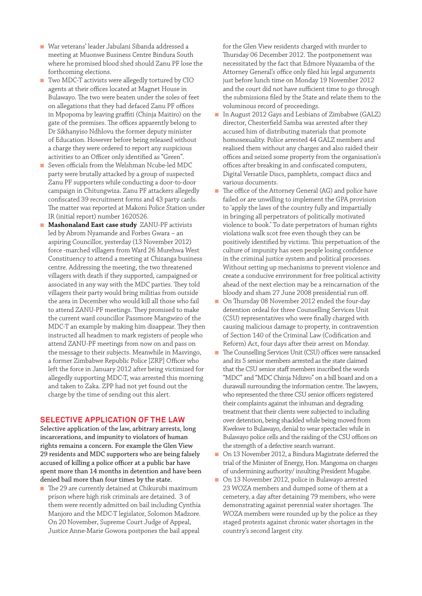- <sup>n</sup> War veterans' leader Jabulani Sibanda addressed a meeting at Muonwe Business Centre Bindura South where he promised blood shed should Zanu PF lose the forthcoming elections.
- Two MDC-T activists were allegedly tortured by CIO agents at their offices located at Magnet House in Bulawayo. The two were beaten under the soles of feet on allegations that they had defaced Zanu PF offices in Mpopoma by leaving graffiti (Chinja Maitiro) on the gate of the premises. The offices apparently belong to Dr Sikhanyiso Ndhlovu the former deputy minister of Education. However before being released without a charge they were ordered to report any suspicious activities to an Officer only identified as "Green".
- Seven officials from the Welshman Ncube-led MDC party were brutally attacked by a group of suspected Zanu PF supporters while conducting a door-to-door campaign in Chitungwiza. Zanu PF attackers allegedly confiscated 39 recruitment forms and 43 party cards. The matter was reported at Makoni Police Station under IR (initial report) number 1620526.
- **n** Mashonaland East case study ZANU-PF activists led by Abrom Nyamande and Forbes Gwara – an aspiring Councillor, yesterday (13 November 2012) force -marched villagers from Ward 26 Murehwa West Constituency to attend a meeting at Chizanga business centre. Addressing the meeting, the two threatened villagers with death if they supported, campaigned or associated in any way with the MDC parties. They told villagers their party would bring militias from outside the area in December who would kill all those who fail to attend ZANU-PF meetings. They promised to make the current ward councillor Passmore Mangwiro of the MDC-T an example by making him disappear. They then instructed all headmen to mark registers of people who attend ZANU-PF meetings from now on and pass on the message to their subjects. Meanwhile in Masvingo, a former Zimbabwe Republic Police [ZRP] Officer who left the force in January 2012 after being victimized for allegedly supporting MDC-T, was arrested this morning and taken to Zaka. ZPP had not yet found out the charge by the time of sending out this alert.

### **Selective application of the law**

Selective application of the law, arbitrary arrests, long incarcerations, and impunity to violators of human rights remains a concern. For example the Glen View 29 residents and MDC supporters who are being falsely accused of killing a police officer at a public bar have spent more than 14 months in detention and have been denied bail more than four times by the state.

n The 29 are currently detained at Chikurubi maximum prison where high risk criminals are detained. 3 of them were recently admitted on bail including Cynthia Manjoro and the MDC-T legislator, Solomon Madzore. On 20 November, Supreme Court Judge of Appeal, Justice Anne-Marie Gowora postpones the bail appeal

for the Glen View residents charged with murder to Thursday 06 December 2012. The postponement was necessitated by the fact that Edmore Nyazamba of the Attorney General's office only filed his legal arguments just before lunch time on Monday 19 November 2012 and the court did not have sufficient time to go through the submissions filed by the State and relate them to the voluminous record of proceedings.

- In August 2012 Gays and Lesbians of Zimbabwe (GALZ) director, Chesterfield Samba was arrested after they accused him of distributing materials that promote homosexuality. Police arrested 44 GALZ members and realised them without any charges and also raided their offices and seized some property from the organisation's offices after breaking in and confiscated computers, Digital Versatile Discs, pamphlets, compact discs and various documents.
- The office of the Attorney General (AG) and police have failed or are unwilling to implement the GPA provision to 'apply the laws of the country fully and impartially in bringing all perpetrators of politically motivated violence to book.' To date perpetrators of human rights violations walk scot free even though they can be positively identified by victims. This perpetuation of the culture of impunity has seen people losing confidence in the criminal justice system and political processes. Without setting up mechanisms to prevent violence and create a conducive environment for free political activity ahead of the next election may be a reincarnation of the bloody and sham 27 June 2008 presidential run off.
- On Thursday 08 November 2012 ended the four-day detention ordeal for three Counselling Services Unit (CSU) representatives who were finally charged with causing malicious damage to property, in contravention of Section 140 of the Criminal Law (Codification and Reform) Act, four days after their arrest on Monday.
- n The Counselling Services Unit (CSU) offices were ransacked and its 5 senior members arrested as the state claimed that the CSU senior staff members inscribed the words "MDC" and "MDC Chinja Ndizvo" on a bill board and on a durawall surrounding the information centre. The lawyers, who represented the three CSU senior officers registered their complaints against the inhuman and degrading treatment that their clients were subjected to including over detention, being shackled while being moved from Kwekwe to Bulawayo, denial to wear spectacles while in Bulawayo police cells and the raiding of the CSU offices on the strength of a defective search warrant.
- <sup>n</sup> On 13 November 2012, a Bindura Magistrate deferred the trial of the Minister of Energy, Hon. Mangoma on charges of undermining authority/ insulting President Mugabe.
- n On 13 November 2012, police in Bulawayo arrested 23 WOZA members and dumped some of them at a cemetery, a day after detaining 79 members, who were demonstrating against perennial water shortages. The WOZA members were rounded up by the police as they staged protests against chronic water shortages in the country's second largest city.